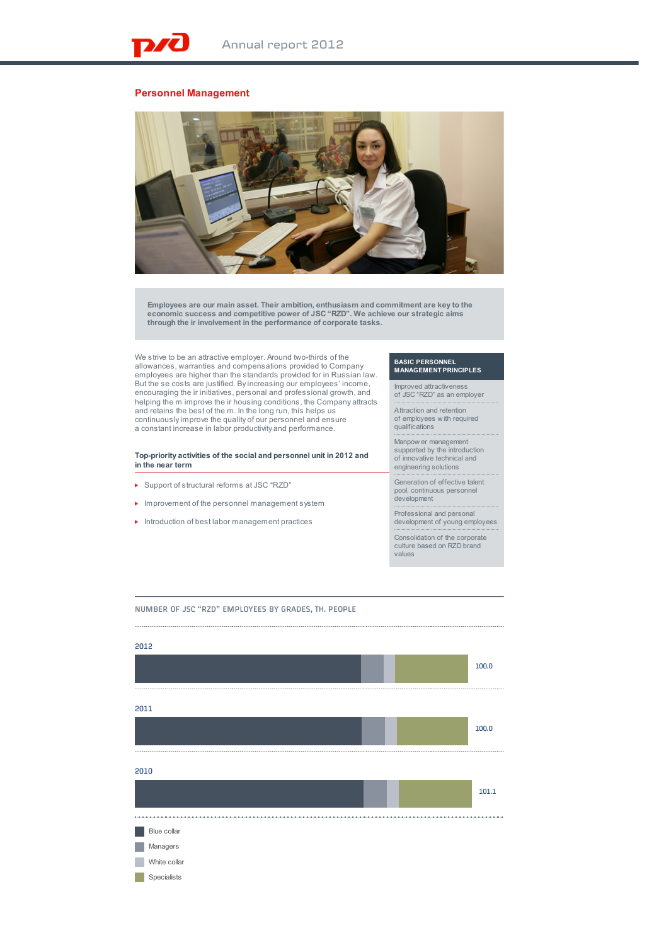## **Personnel Management**



**Employees are our main asset. Their ambition, enthusiasm and commitment are key to the economic success and competitive power of JSC "RZD". We achieve our strategic aims through the ir involvement in the performance of corporate tasks.**

We strive to be an attractive employer. Around two-thirds of the allowances, warranties and compensations provided to Company employees are higher than the standards provided for in Russian law. But the se costs are justified. By increasing our employees' income, encouraging the ir initiatives, personal and professional growth, and helping the m improve the ir housing conditions, the Company attracts and retains the best of the m. In the long run, this helps us continuously improve the quality of our personnel and ensure a constant increase in labor productivity and performance.

**Top-priority activities of the social and personnel unit in 2012 and in the near term**

- ▶ Support of structural reforms at JSC "RZD"
- **In improvement of the personnel management system**
- $\blacktriangleright$  Introduction of best labor management practices

## **BASIC PERSONNEL MANAGEMENT PRINCIPLES**

Improved attractiveness of JSC "RZD" as an employer

Attraction and retention of employees w ith required qualifications

Manpow er management supported by the introduction of innovative technical and engineering solutions

Generation of effective talent pool, continuous personnel development

Professional and personal development of young employees

Consolidation of the corporate culture based on RZD brand

values

NUMBER OF JSC "RZD" EMPLOYEES BY GRADES, TH. PEOPLE

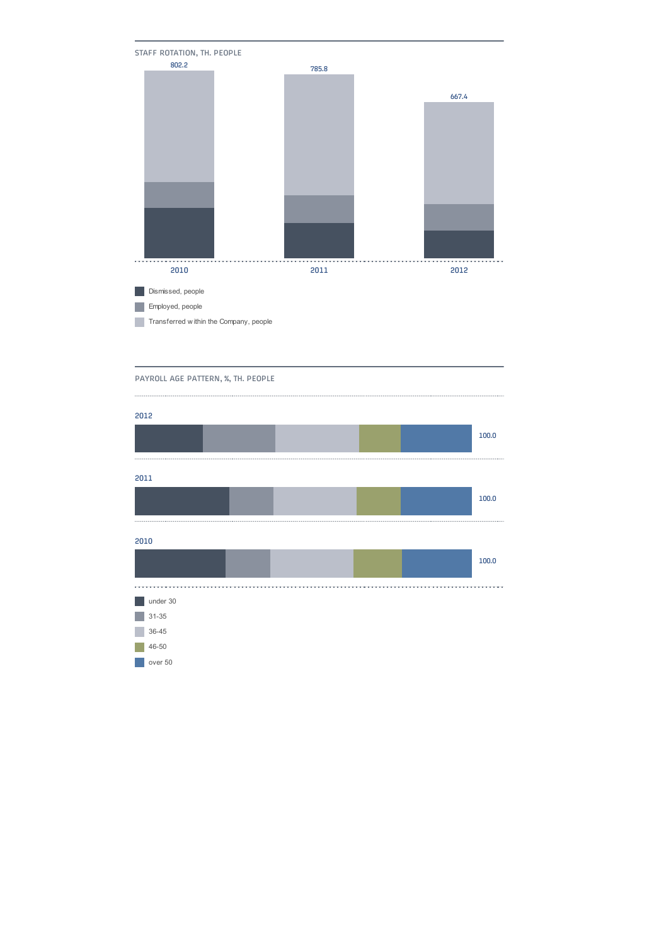

PAYROLL AGE PATTERN, %, TH. PEOPLE

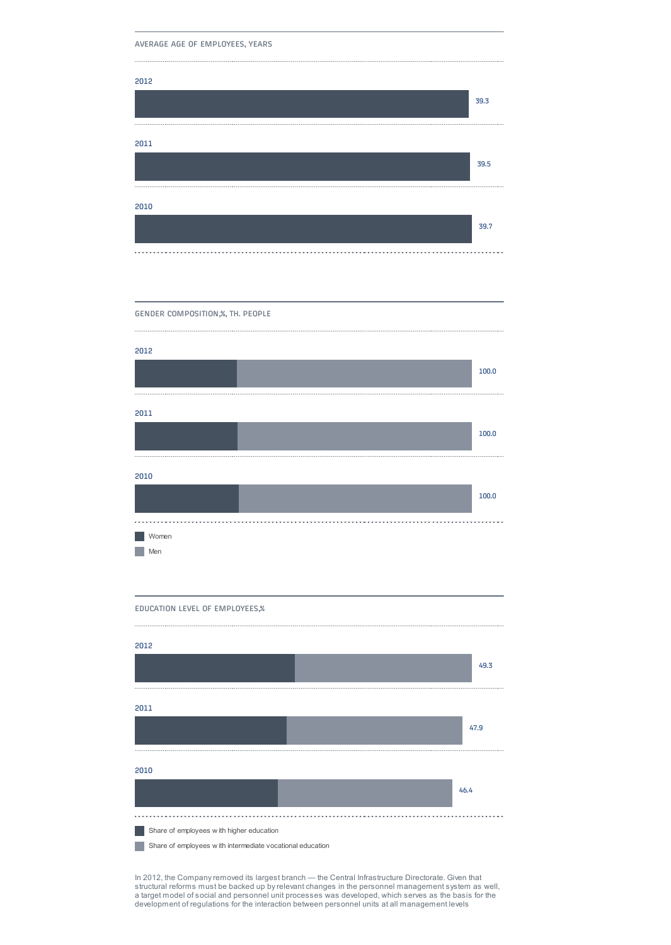AVERAGE AGE OF EMPLOYEES, YEARS

GENDER COMPOSITION,%, TH. PEOPLE







**Share of employees with higher education** 

**Share of employees with intermediate vocational education** 

In 2012, the Company removed its largest branch — the Central Infrastructure Directorate. Given that structural reforms must be backed up by relevant changes in the personnel management system as well,<br>a target model of social and personnel unit processes was developed, which serves as the basis for the<br>development of reg